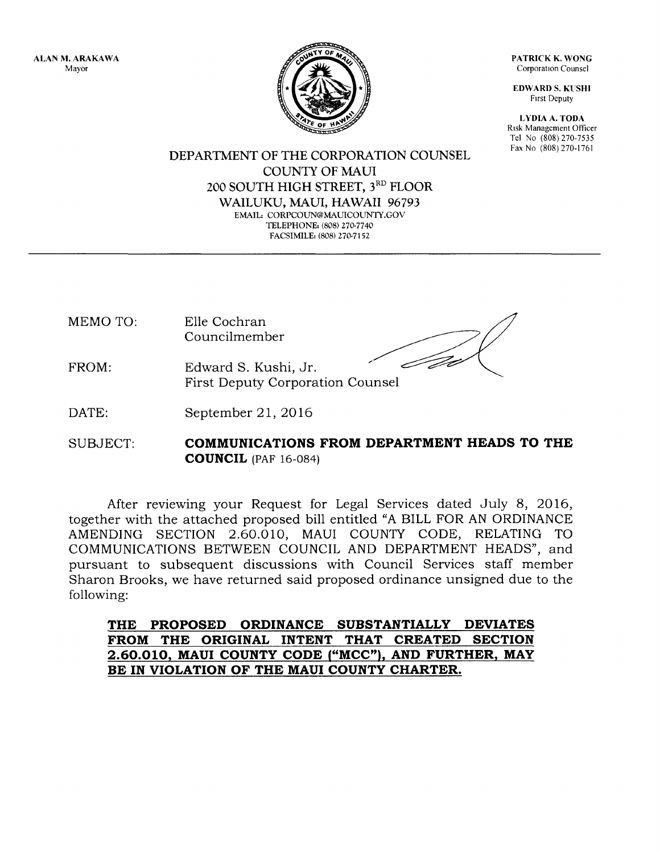ALAN M, ARAKAWA Mayor



PATRICK K. WONG Corporation Counsel

EDWARD S. KUSHI Frrst Deputy

LYDIA A. TODA Risk Management Officer Tel No (808) 270-7535 Fax No (808) 270-1761

DEPARTMENT OF THE CORPORATION COUNSEL COLINTY OF MAUI 200 SOUTH HIGH STREET, 3RD FLOOR WAILUKU, MAUI, HAWAII 96793 EMAIL: CORPCOUN@MAUICOUNTY.GOV TELEPHONE: (808) 270-7740 FACSIMILE: (808) 270-7152

MEMO TO: Elle Cochran Councilmember

- FROM: Edward S. Kushi, Jr. First Deputy Corporation
- DATE: September 2l,2016
- SUBJECT: COMMUNICATIONS FROM DEPARTMENT HEADS TO THE **COUNCIL** (PAF 16-084)

After reviewing your Request for Legal Services dated July 8, 2016, together with the attached proposed bill entitled "A BILL FOR AN ORDINANCE AMENDING SECTION 2.60.010, MAUI COUNTY CODE, RELATING TO COMMUNICATIONS BETWEEN COUNCIL AND DEPARTMENT HEADS", and pursuant to subsequent discussions with Council Services staff member Sharon Brooks, we have returned said proposed ordinance unsigned due to the following:

THE PROPOSED ORDINANCE SUBSTANTIALLY DEVIATES FROM THE ORIGINAL INTENT THAT CREATED SECTION 2.60.010, MAUI COUNTY CODE ("MCC"), AND FURTHER, MAY BE IN VIOLATION OF THE MAUI COUNTY CHARTER.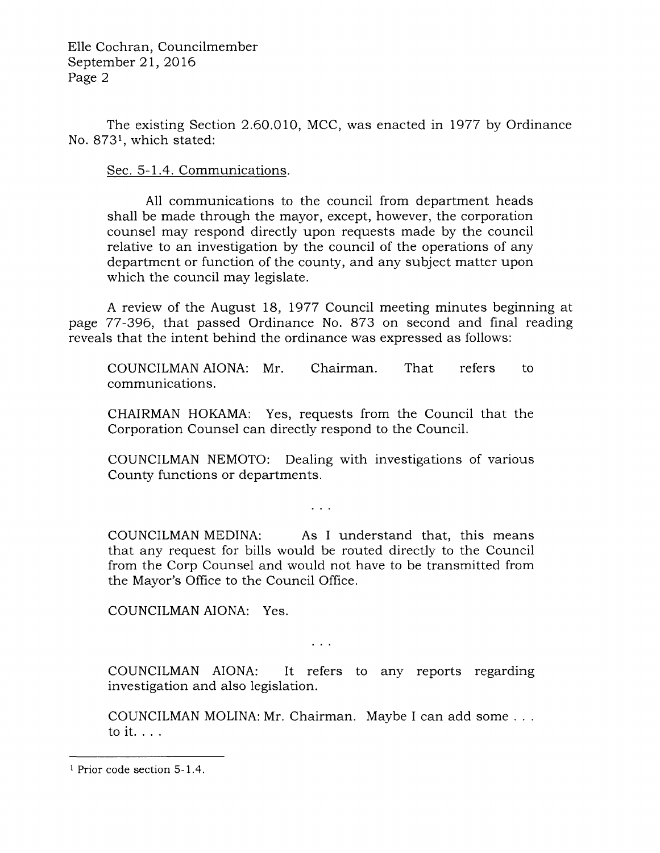The existing Section 2.60,010, MCC, was enacted in 1977 by Ordinance No. 8731, which stated:

Sec. 5-1.4. Communications.

A11 communications to the council from department heads shall be made through the mayor, except, however, the corporation counsel may respond directly upon requests made by the council relative to an investigation by the council of the operations of any department or function of the county, and any subject matter upon which the council may legislate.

A review of the August 18, 1977 Council meeting minutes beginning at page 77-396, that passed Ordinance No. 873 on second and final reading reveals that the intent behind the ordinance was expressed as follows:

COUNCILMAN AIONA: Mr. Chairman. That refers to communications.

CHAIRMAN HOKAMA: Yes, requests from the Council that the Corporation Counsel can directly respond to the Council.

COUNCILMAN NEMOTO: Dealing with investigations of various County functions or departments.

 $\sim$   $\sim$   $\sim$ 

COUNCILMAN MEDINA: As I understand that, this means that any request for bills would be routed directly to the Council from the Corp Counsel and would not have to be transmitted from the Mayor's Office to the Council Office.

COUNCILMAN AIONA: Yes.

 $\sim$   $\sim$   $\sim$ 

COUNCILMAN AIONA: It refers to any reports regarding investigation and also legislation.

COUNCILMAN MOLINA: Mr. Chairman. Maybe I can add some . . . toit....

<sup>1</sup> Prior code section 5-1.4.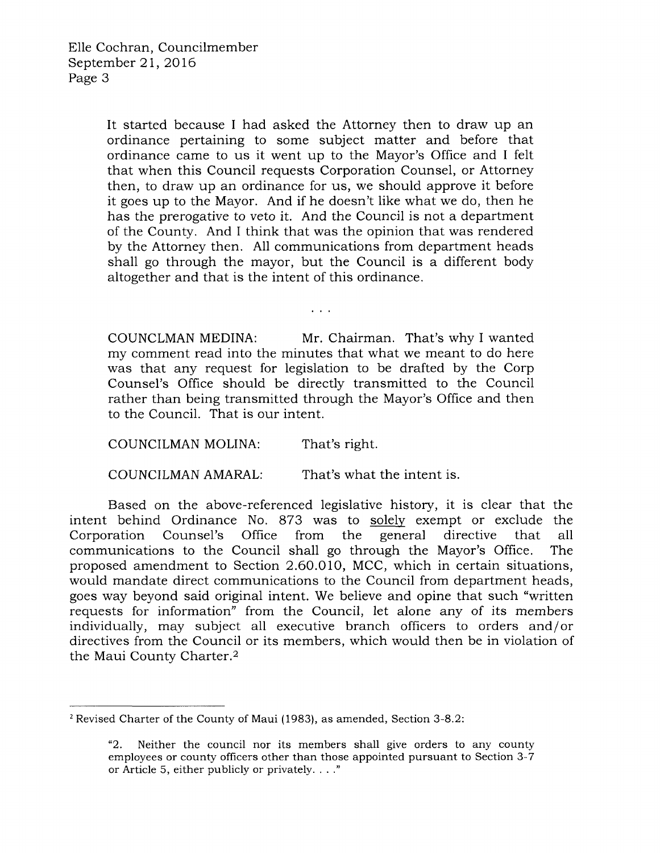It started because I had asked the Attorney then to draw up an ordinance pertaining to some subject matter and before that ordinance came to us it went up to the Mayor's Office and I felt that when this Council requests Corporation Counsel, or Attorney then, to draw up an ordinance for us, we should approve it before it goes up to the Mayor. And if he doesn't like what we do, then he has the prerogative to veto it. And the Council is not a department of the County. And I think that was the opinion that was rendered by the Attorney then. All communications from department heads shall go through the mayor, but the Council is a different body altogether and that is the intent of this ordinance.

 $\sim 100$ 

COUNCLMAN MEDINA: Mr. Chairman. That's why I wanted my comment read into the minutes that what we meant to do here was that any request for legislation to be drafted by the Corp Counsel's Office should be directly transmitted to the Council rather than being transmitted through the Mayor's Office and then to the Council. That is our intent.

COUNCILMAN MOLINA: That's right.

COUNCILMAN AMARAL: That's what the intent is.

Based on the above-referenced legislative history, it is clear that the intent behind Ordinance No. 873 was to solely exempt or exclude the Corporation Counsel's Office from the general directive that all Corporation Counsel's Office from the general directive that all communications to the Council shall go through the Mayor's Office. The proposed amendment to Section 2.60.010, MCC, which in certain situations, would mandate direct communications to the Council from department heads, goes way beyond said original intent. We believe and opine that such "written requests for information" from the Council, let alone any of its members individually, may subject all executive branch officers to orders and/or directives from the Council or its members, which would then be in violation of the Maui County Charter.2

<sup>&</sup>lt;sup>2</sup> Revised Charter of the County of Maui (1983), as amended, Section 3-8.2:

<sup>&</sup>quot;2. Neither the council nor its members shall give orders to any county employees or county officers other than those appointed pursuant to Section 3-7 or Article 5, either publicly or privately. . . ."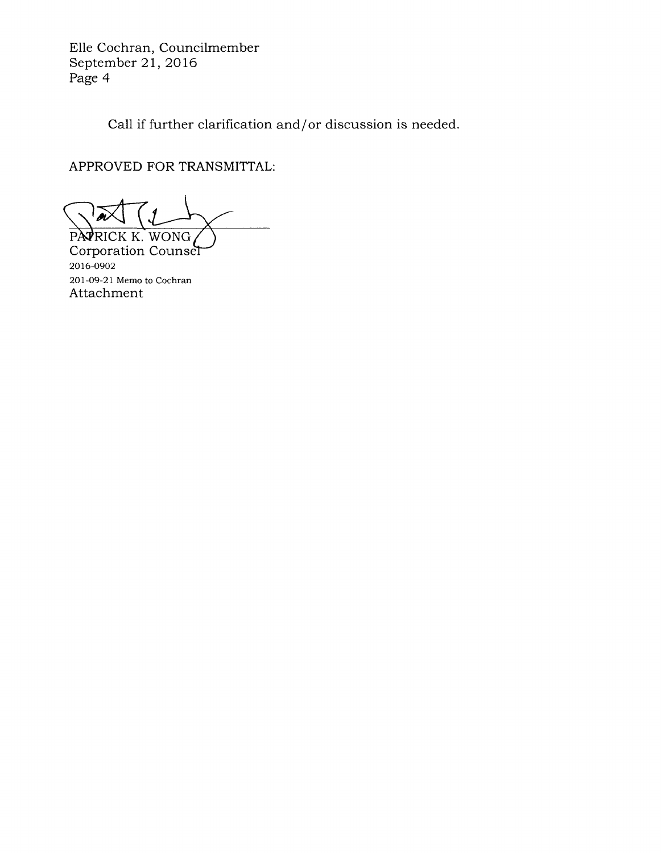Elle Cochran, Councilmember September 21, 2016 Page 4

Call if further clarification and/or discussion is needed.

APPROVED FOR TRANSMITTAL:

PATRICK K. WONG

201-09-21 Memo to Cochran Attachment Corporation Counser 2016-0902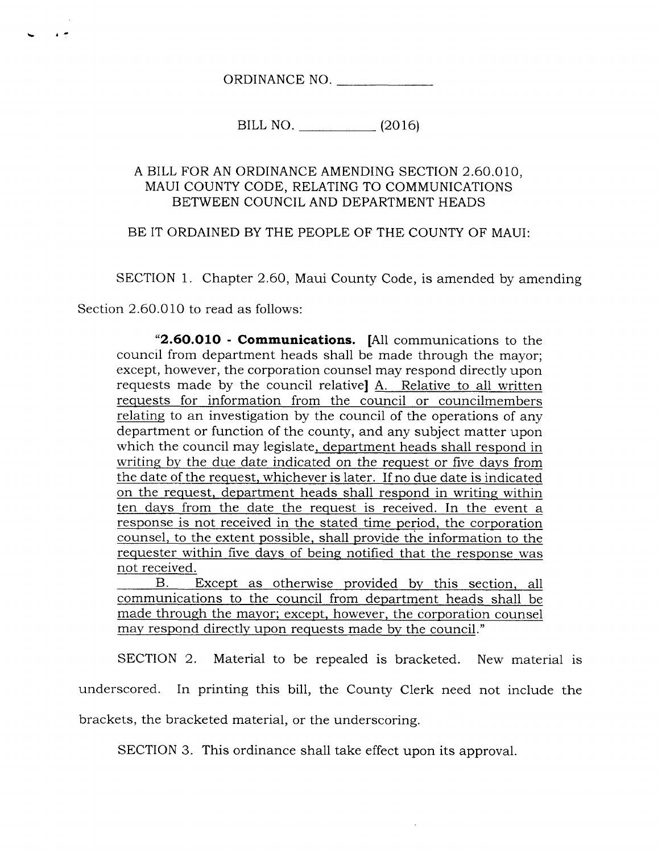ORDINANCE NO.

BILL NO. (2016)

## A BILL FOR AN ORDINANCE AMENDING SECTION 2.60.010, MAUI COUNTY CODE, RELATING TO COMMUNICATIONS BETWEEN COUNCIL AND DEPARTMENT HEADS

## BE IT ORDAINED BY THE PEOPLE OF THE COUNTY OF MAUI:

SECTION 1. Chapter 2.60, Maui County Code, is amended by amending

Section 2.60.O10 to read as follows:

 $\ddot{\phantom{1}}$ 

"2,6O.OLO - Communications. [All communications to the council from department heads shall be made through the mayor; except, however, the corporation counsel may respond directly upon requests made by the council relativel A. Relative to all written requests for information from the council or councilmembers relating to an investigation by the council of the operations of any department or function of the county, and any subject matter upon which the council may legislate, department heads shall respond in writing by the due date indicated on the request or five days from the date of the request. whichever is later. If no due date is indicated on the request. department heads shall respond in writing within ten davs from the date the request is received. In the event <sup>a</sup> response is not received in the stated time period, the corporation counsel. to the extent possible. shall provide the information to the requester within five davs of beinq notified that the response was not received.

B. Except as otherwise provided by this section, all communications to the council from department heads shall be made throuqh the mavor: except. however, the corporation counsel may respond directly upon requests made by the council."

SECTION 2. Material to be repealed is bracketed. New material is underscored. In printing this bill, the County Clerk need not include the brackets, the bracketed material, or the underscoring.

SECTION 3. This ordinance shall take effect upon its approval.